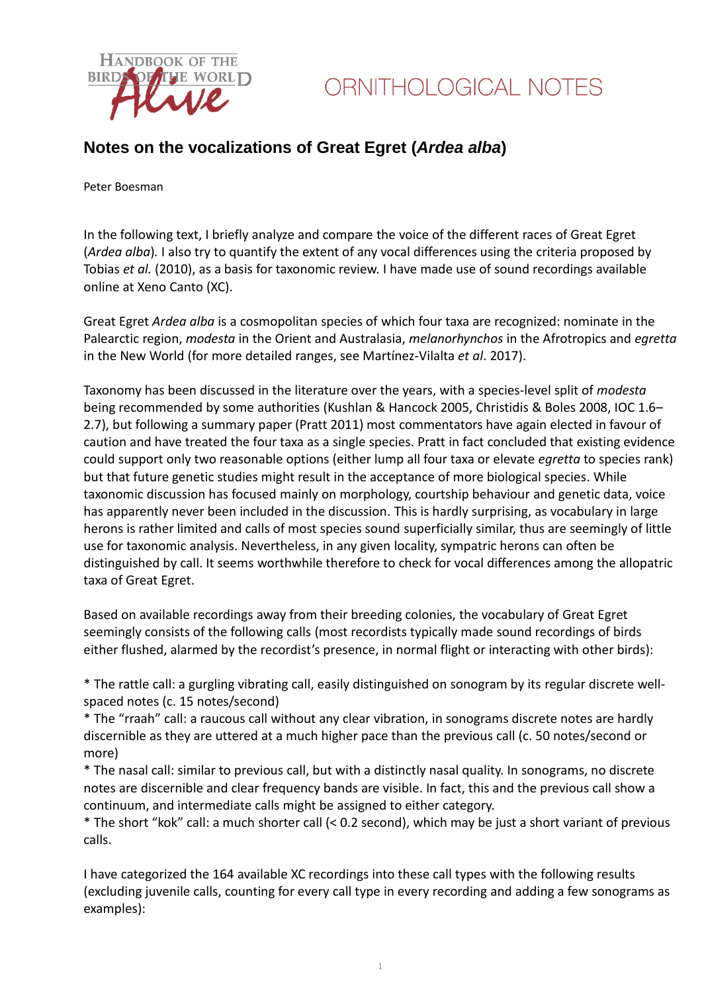

#### **Notes on the vocalizations of Great Egret (***Ardea alba***)**

Peter Boesman

In the following text, I briefly analyze and compare the voice of the different races of Great Egret (*Ardea alba*)*.* I also try to quantify the extent of any vocal differences using the criteria proposed by Tobias *et al.* (2010), as a basis for taxonomic review. I have made use of sound recordings available online at Xeno Canto (XC).

Great Egret *Ardea alba* is a cosmopolitan species of which four taxa are recognized: nominate in the Palearctic region, *modesta* in the Orient and Australasia, *melanorhynchos* in the Afrotropics and *egretta* in the New World (for more detailed ranges, see Martínez-Vilalta *et al*. 2017).

Taxonomy has been discussed in the literature over the years, with a species-level split of *modesta* being recommended by some authorities (Kushlan & Hancock 2005, Christidis & Boles 2008, IOC 1.6– 2.7), but following a summary paper (Pratt 2011) most commentators have again elected in favour of caution and have treated the four taxa as a single species. Pratt in fact concluded that existing evidence could support only two reasonable options (either lump all four taxa or elevate *egretta* to species rank) but that future genetic studies might result in the acceptance of more biological species. While taxonomic discussion has focused mainly on morphology, courtship behaviour and genetic data, voice has apparently never been included in the discussion. This is hardly surprising, as vocabulary in large herons is rather limited and calls of most species sound superficially similar, thus are seemingly of little use for taxonomic analysis. Nevertheless, in any given locality, sympatric herons can often be distinguished by call. It seems worthwhile therefore to check for vocal differences among the allopatric taxa of Great Egret.

Based on available recordings away from their breeding colonies, the vocabulary of Great Egret seemingly consists of the following calls (most recordists typically made sound recordings of birds either flushed, alarmed by the recordist's presence, in normal flight or interacting with other birds):

\* The rattle call: a gurgling vibrating call, easily distinguished on sonogram by its regular discrete wellspaced notes (c. 15 notes/second)

\* The "rraah" call: a raucous call without any clear vibration, in sonograms discrete notes are hardly discernible as they are uttered at a much higher pace than the previous call (c. 50 notes/second or more)

\* The nasal call: similar to previous call, but with a distinctly nasal quality. In sonograms, no discrete notes are discernible and clear frequency bands are visible. In fact, this and the previous call show a continuum, and intermediate calls might be assigned to either category.

\* The short "kok" call: a much shorter call (< 0.2 second), which may be just a short variant of previous calls.

I have categorized the 164 available XC recordings into these call types with the following results (excluding juvenile calls, counting for every call type in every recording and adding a few sonograms as examples):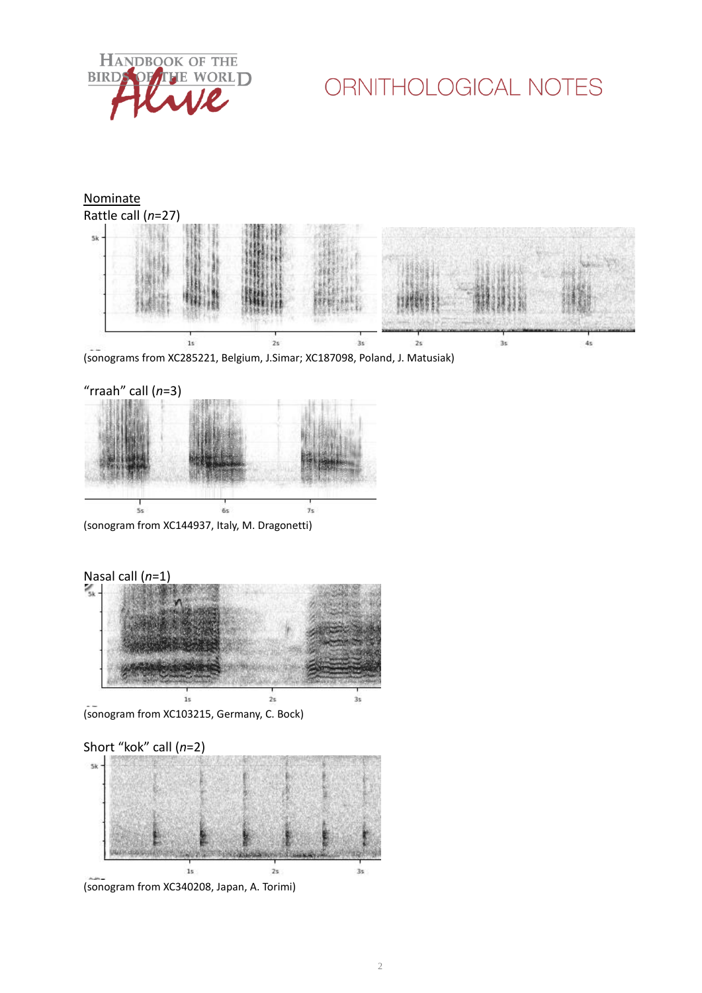



(sonograms from XC285221, Belgium, J.Simar; XC187098, Poland, J. Matusiak)



(sonogram from XC144937, Italy, M. Dragonetti)



(sonogram from XC103215, Germany, C. Bock)



(sonogram from XC340208, Japan, A. Torimi)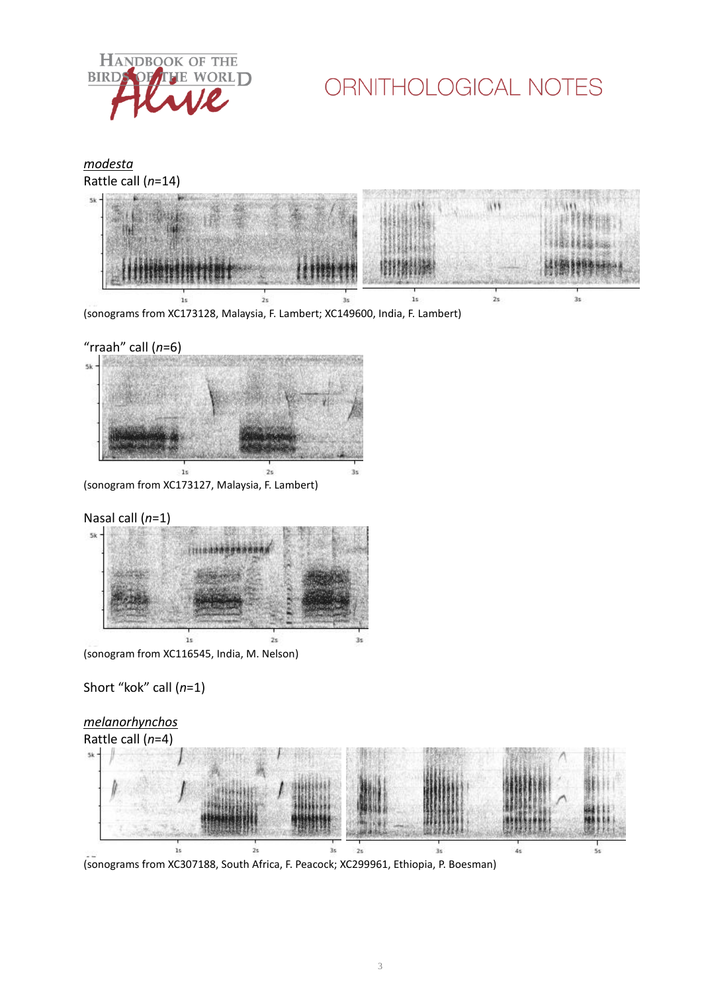



![](_page_2_Figure_3.jpeg)

(sonograms from XC307188, South Africa, F. Peacock; XC299961, Ethiopia, P. Boesman)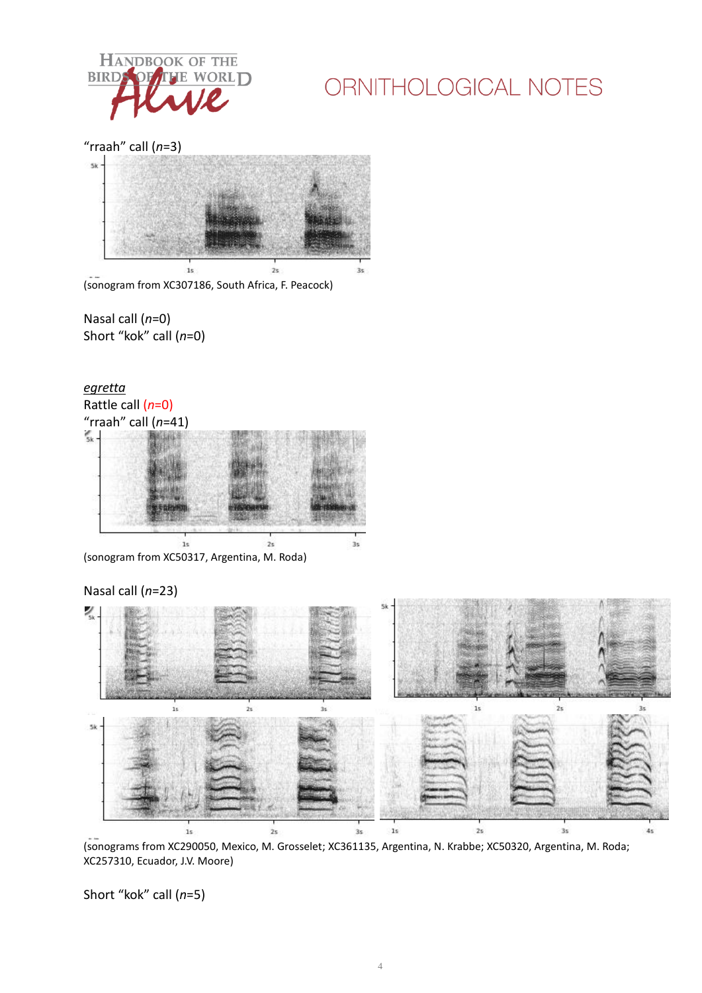![](_page_3_Picture_0.jpeg)

"rraah" call (*n*=3)

![](_page_3_Figure_3.jpeg)

(sonogram from XC307186, South Africa, F. Peacock)

Nasal call (*n*=0) Short "kok" call (*n*=0)

![](_page_3_Figure_6.jpeg)

(sonogram from XC50317, Argentina, M. Roda)

![](_page_3_Figure_8.jpeg)

(sonograms from XC290050, Mexico, M. Grosselet; XC361135, Argentina, N. Krabbe; XC50320, Argentina, M. Roda; XC257310, Ecuador, J.V. Moore)

Short "kok" call (*n*=5)

#### Nasal call (*n*=23)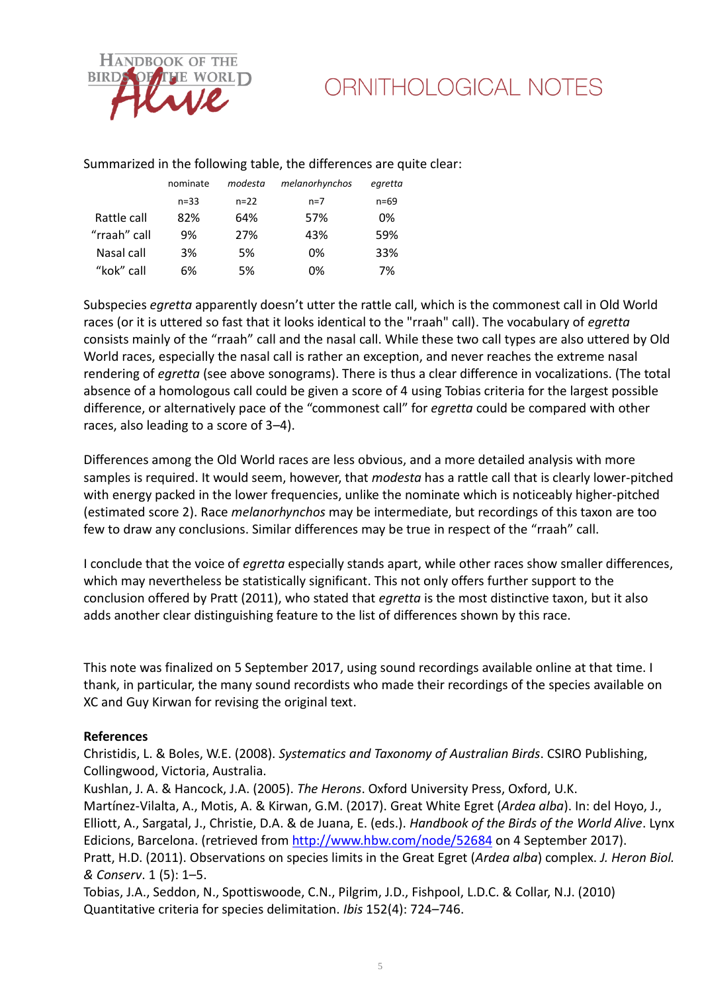![](_page_4_Picture_0.jpeg)

#### Summarized in the following table, the differences are quite clear:

|              | nominate | modesta | melanorhynchos | egretta |
|--------------|----------|---------|----------------|---------|
|              | $n = 33$ | $n=22$  | $n=7$          | n=69    |
| Rattle call  | 82%      | 64%     | 57%            | 0%      |
| "rraah" call | 9%       | 27%     | 43%            | 59%     |
| Nasal call   | 3%       | 5%      | 0%             | 33%     |
| "kok" call   | 6%       | 5%      | 0%             | 7%      |

Subspecies *egretta* apparently doesn't utter the rattle call, which is the commonest call in Old World races (or it is uttered so fast that it looks identical to the "rraah" call). The vocabulary of *egretta* consists mainly of the "rraah" call and the nasal call. While these two call types are also uttered by Old World races, especially the nasal call is rather an exception, and never reaches the extreme nasal rendering of *egretta* (see above sonograms). There is thus a clear difference in vocalizations. (The total absence of a homologous call could be given a score of 4 using Tobias criteria for the largest possible difference, or alternatively pace of the "commonest call" for *egretta* could be compared with other races, also leading to a score of 3–4).

Differences among the Old World races are less obvious, and a more detailed analysis with more samples is required. It would seem, however, that *modesta* has a rattle call that is clearly lower-pitched with energy packed in the lower frequencies, unlike the nominate which is noticeably higher-pitched (estimated score 2). Race *melanorhynchos* may be intermediate, but recordings of this taxon are too few to draw any conclusions. Similar differences may be true in respect of the "rraah" call.

I conclude that the voice of *egretta* especially stands apart, while other races show smaller differences, which may nevertheless be statistically significant. This not only offers further support to the conclusion offered by Pratt (2011), who stated that *egretta* is the most distinctive taxon, but it also adds another clear distinguishing feature to the list of differences shown by this race.

This note was finalized on 5 September 2017, using sound recordings available online at that time. I thank, in particular, the many sound recordists who made their recordings of the species available on XC and Guy Kirwan for revising the original text.

#### **References**

Christidis, L. & Boles, W.E. (2008). *Systematics and Taxonomy of Australian Birds*. CSIRO Publishing, Collingwood, Victoria, Australia.

Kushlan, J. A. & Hancock, J.A. (2005). *The Herons*. Oxford University Press, Oxford, U.K. Martínez-Vilalta, A., Motis, A. & Kirwan, G.M. (2017). Great White Egret (*Ardea alba*). In: del Hoyo, J., Elliott, A., Sargatal, J., Christie, D.A. & de Juana, E. (eds.). *Handbook of the Birds of the World Alive*. Lynx Edicions, Barcelona. (retrieved fro[m http://www.hbw.com/node/52684](http://www.hbw.com/node/52684) on 4 September 2017). Pratt, H.D. (2011). Observations on species limits in the Great Egret (*Ardea alba*) complex. *J. Heron Biol. & Conserv*. 1 (5): 1–5.

Tobias, J.A., Seddon, N., Spottiswoode, C.N., Pilgrim, J.D., Fishpool, L.D.C. & Collar, N.J. (2010) Quantitative criteria for species delimitation. *Ibis* 152(4): 724–746.